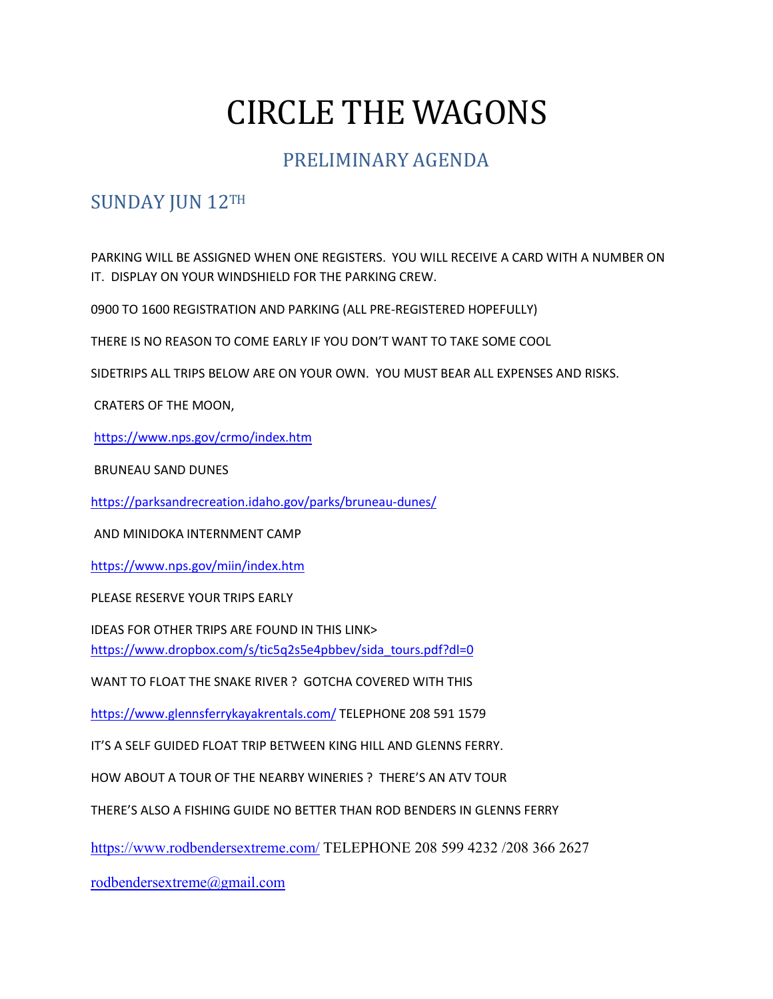# CIRCLE THE WAGONS

## PRELIMINARY AGENDA

## SUNDAY JUN 12TH

PARKING WILL BE ASSIGNED WHEN ONE REGISTERS. YOU WILL RECEIVE A CARD WITH A NUMBER ON IT. DISPLAY ON YOUR WINDSHIELD FOR THE PARKING CREW.

0900 TO 1600 REGISTRATION AND PARKING (ALL PRE-REGISTERED HOPEFULLY)

THERE IS NO REASON TO COME EARLY IF YOU DON'T WANT TO TAKE SOME COOL

SIDETRIPS ALL TRIPS BELOW ARE ON YOUR OWN. YOU MUST BEAR ALL EXPENSES AND RISKS.

CRATERS OF THE MOON,

https://www.nps.gov/crmo/index.htm

BRUNEAU SAND DUNES

https://parksandrecreation.idaho.gov/parks/bruneau-dunes/

AND MINIDOKA INTERNMENT CAMP

https://www.nps.gov/miin/index.htm

PLEASE RESERVE YOUR TRIPS EARLY

IDEAS FOR OTHER TRIPS ARE FOUND IN THIS LINK> https://www.dropbox.com/s/tic5q2s5e4pbbev/sida\_tours.pdf?dl=0

WANT TO FLOAT THE SNAKE RIVER ? GOTCHA COVERED WITH THIS

https://www.glennsferrykayakrentals.com/ TELEPHONE 208 591 1579

IT'S A SELF GUIDED FLOAT TRIP BETWEEN KING HILL AND GLENNS FERRY.

HOW ABOUT A TOUR OF THE NEARBY WINERIES ? THERE'S AN ATV TOUR

THERE'S ALSO A FISHING GUIDE NO BETTER THAN ROD BENDERS IN GLENNS FERRY

https://www.rodbendersextreme.com/ TELEPHONE 208 599 4232 /208 366 2627

rodbendersextreme@gmail.com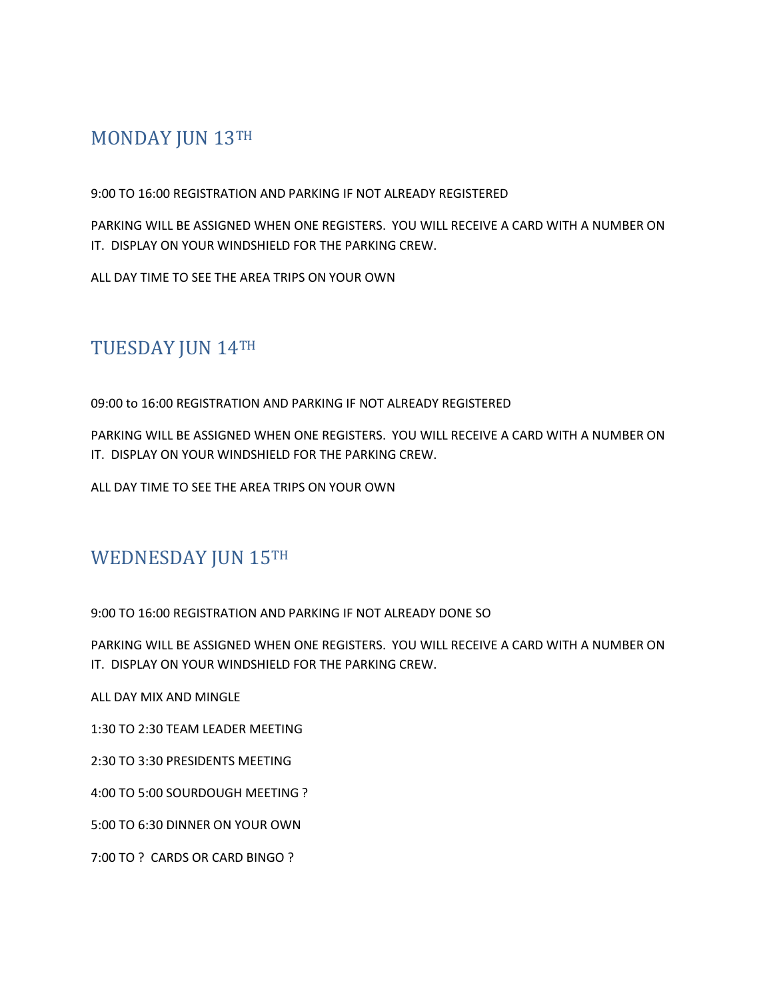### MONDAY JUN 13TH

9:00 TO 16:00 REGISTRATION AND PARKING IF NOT ALREADY REGISTERED

PARKING WILL BE ASSIGNED WHEN ONE REGISTERS. YOU WILL RECEIVE A CARD WITH A NUMBER ON IT. DISPLAY ON YOUR WINDSHIELD FOR THE PARKING CREW.

ALL DAY TIME TO SEE THE AREA TRIPS ON YOUR OWN

# TUESDAY JUN 14TH

09:00 to 16:00 REGISTRATION AND PARKING IF NOT ALREADY REGISTERED

PARKING WILL BE ASSIGNED WHEN ONE REGISTERS. YOU WILL RECEIVE A CARD WITH A NUMBER ON IT. DISPLAY ON YOUR WINDSHIELD FOR THE PARKING CREW.

ALL DAY TIME TO SEE THE AREA TRIPS ON YOUR OWN

#### WEDNESDAY JUN 15TH

9:00 TO 16:00 REGISTRATION AND PARKING IF NOT ALREADY DONE SO

PARKING WILL BE ASSIGNED WHEN ONE REGISTERS. YOU WILL RECEIVE A CARD WITH A NUMBER ON IT. DISPLAY ON YOUR WINDSHIELD FOR THE PARKING CREW.

ALL DAY MIX AND MINGLE

1:30 TO 2:30 TEAM LEADER MEETING

2:30 TO 3:30 PRESIDENTS MEETING

4:00 TO 5:00 SOURDOUGH MEETING ?

5:00 TO 6:30 DINNER ON YOUR OWN

7:00 TO ? CARDS OR CARD BINGO ?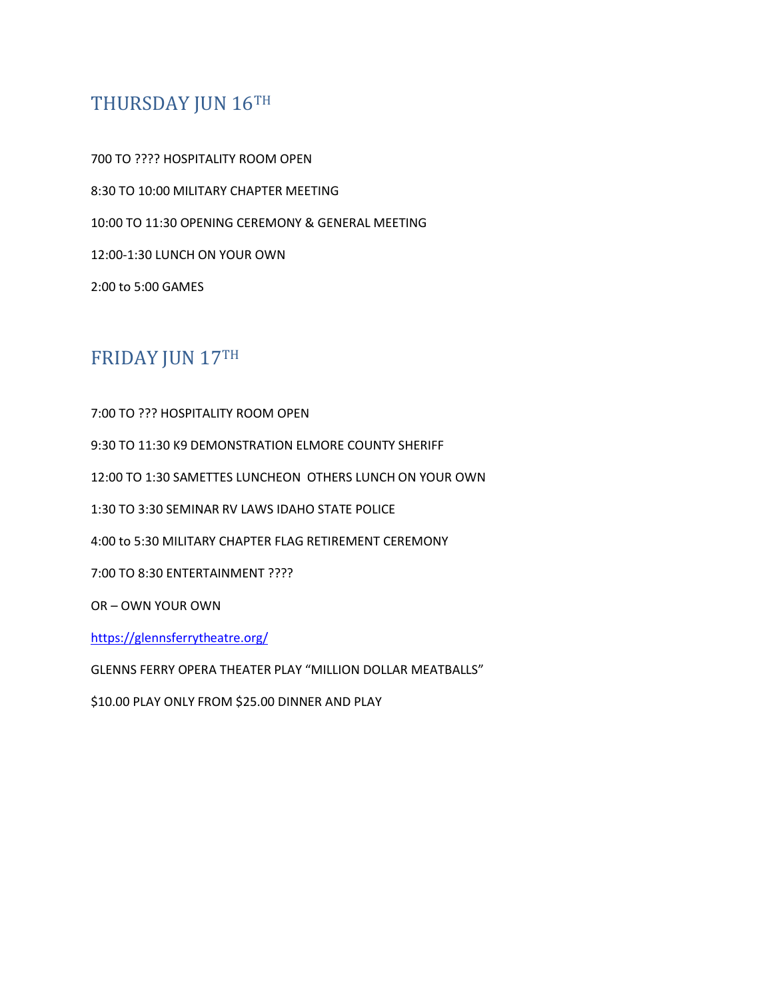#### THURSDAY JUN 16TH

700 TO ???? HOSPITALITY ROOM OPEN 8:30 TO 10:00 MILITARY CHAPTER MEETING 10:00 TO 11:30 OPENING CEREMONY & GENERAL MEETING 12:00-1:30 LUNCH ON YOUR OWN 2:00 to 5:00 GAMES

## FRIDAY JUN 17TH

7:00 TO ??? HOSPITALITY ROOM OPEN

9:30 TO 11:30 K9 DEMONSTRATION ELMORE COUNTY SHERIFF

12:00 TO 1:30 SAMETTES LUNCHEON OTHERS LUNCH ON YOUR OWN

1:30 TO 3:30 SEMINAR RV LAWS IDAHO STATE POLICE

4:00 to 5:30 MILITARY CHAPTER FLAG RETIREMENT CEREMONY

7:00 TO 8:30 ENTERTAINMENT ????

OR – OWN YOUR OWN

https://glennsferrytheatre.org/

GLENNS FERRY OPERA THEATER PLAY "MILLION DOLLAR MEATBALLS"

\$10.00 PLAY ONLY FROM \$25.00 DINNER AND PLAY